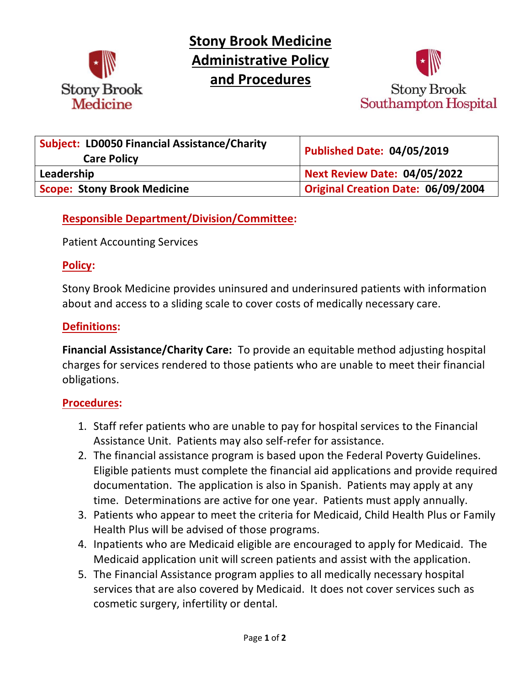

**Stony Brook Medicine Administrative Policy and Procedures**



| <b>Subject: LD0050 Financial Assistance/Charity</b><br><b>Care Policy</b> | <b>Published Date: 04/05/2019</b>         |
|---------------------------------------------------------------------------|-------------------------------------------|
| Leadership                                                                | <b>Next Review Date: 04/05/2022</b>       |
| <b>Scope: Stony Brook Medicine</b>                                        | <b>Original Creation Date: 06/09/2004</b> |

# **Responsible Department/Division/Committee:**

Patient Accounting Services

### **Policy:**

Stony Brook Medicine provides uninsured and underinsured patients with information about and access to a sliding scale to cover costs of medically necessary care.

### **Definitions:**

**Financial Assistance/Charity Care:** To provide an equitable method adjusting hospital charges for services rendered to those patients who are unable to meet their financial obligations.

### **Procedures:**

- 1. Staff refer patients who are unable to pay for hospital services to the Financial Assistance Unit. Patients may also self-refer for assistance.
- 2. The financial assistance program is based upon the Federal Poverty Guidelines. Eligible patients must complete the financial aid applications and provide required documentation. The application is also in Spanish. Patients may apply at any time. Determinations are active for one year. Patients must apply annually.
- 3. Patients who appear to meet the criteria for Medicaid, Child Health Plus or Family Health Plus will be advised of those programs.
- 4. Inpatients who are Medicaid eligible are encouraged to apply for Medicaid. The Medicaid application unit will screen patients and assist with the application.
- 5. The Financial Assistance program applies to all medically necessary hospital services that are also covered by Medicaid. It does not cover services such as cosmetic surgery, infertility or dental.